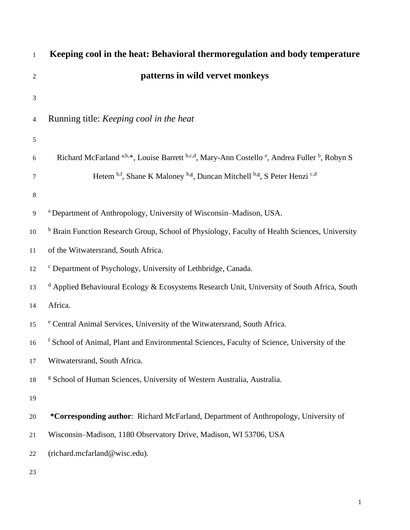| $\mathbf{1}$   | Keeping cool in the heat: Behavioral thermoregulation and body temperature                                           |
|----------------|----------------------------------------------------------------------------------------------------------------------|
| $\mathfrak{2}$ | patterns in wild vervet monkeys                                                                                      |
| 3              |                                                                                                                      |
| 4              | Running title: <i>Keeping cool in the heat</i>                                                                       |
| $\sqrt{5}$     |                                                                                                                      |
| 6              | Richard McFarland a,b,*, Louise Barrett b,c,d, Mary-Ann Costello <sup>e</sup> , Andrea Fuller <sup>b</sup> , Robyn S |
| 7              | Hetem b.f., Shane K Maloney b.g., Duncan Mitchell b.g., S Peter Henzi c.d                                            |
| 8              |                                                                                                                      |
| 9              | <sup>a</sup> Department of Anthropology, University of Wisconsin–Madison, USA.                                       |
| 10             | <sup>b</sup> Brain Function Research Group, School of Physiology, Faculty of Health Sciences, University             |
| 11             | of the Witwatersrand, South Africa.                                                                                  |
| 12             | <sup>c</sup> Department of Psychology, University of Lethbridge, Canada.                                             |
| 13             | <sup>d</sup> Applied Behavioural Ecology & Ecosystems Research Unit, University of South Africa, South               |
| 14             | Africa.                                                                                                              |
| 15             | <sup>e</sup> Central Animal Services, University of the Witwatersrand, South Africa.                                 |
| 16             | <sup>f</sup> School of Animal, Plant and Environmental Sciences, Faculty of Science, University of the               |
| 17             | Witwatersrand, South Africa.                                                                                         |
| 18             | <sup>g</sup> School of Human Sciences, University of Western Australia, Australia.                                   |
| 19             |                                                                                                                      |
| 20             | *Corresponding author: Richard McFarland, Department of Anthropology, University of                                  |
| 21             | Wisconsin-Madison, 1180 Observatory Drive, Madison, WI 53706, USA                                                    |
| 22             | (richard.mcfarland@wisc.edu).                                                                                        |
| 23             |                                                                                                                      |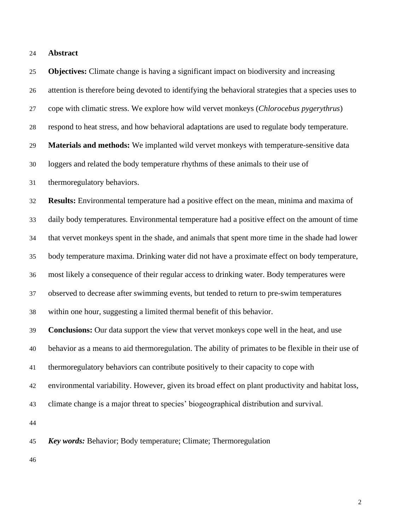| 24 | <b>Abstract</b> |
|----|-----------------|
|    |                 |

 **Objectives:** Climate change is having a significant impact on biodiversity and increasing attention is therefore being devoted to identifying the behavioral strategies that a species uses to cope with climatic stress. We explore how wild vervet monkeys (*Chlorocebus pygerythrus*) respond to heat stress, and how behavioral adaptations are used to regulate body temperature. **Materials and methods:** We implanted wild vervet monkeys with temperature-sensitive data loggers and related the body temperature rhythms of these animals to their use of thermoregulatory behaviors. **Results:** Environmental temperature had a positive effect on the mean, minima and maxima of daily body temperatures. Environmental temperature had a positive effect on the amount of time that vervet monkeys spent in the shade, and animals that spent more time in the shade had lower body temperature maxima. Drinking water did not have a proximate effect on body temperature, most likely a consequence of their regular access to drinking water. Body temperatures were observed to decrease after swimming events, but tended to return to pre-swim temperatures within one hour, suggesting a limited thermal benefit of this behavior. **Conclusions:** Our data support the view that vervet monkeys cope well in the heat, and use behavior as a means to aid thermoregulation. The ability of primates to be flexible in their use of thermoregulatory behaviors can contribute positively to their capacity to cope with environmental variability. However, given its broad effect on plant productivity and habitat loss, climate change is a major threat to species' biogeographical distribution and survival. *Key words:* Behavior; Body temperature; Climate; Thermoregulation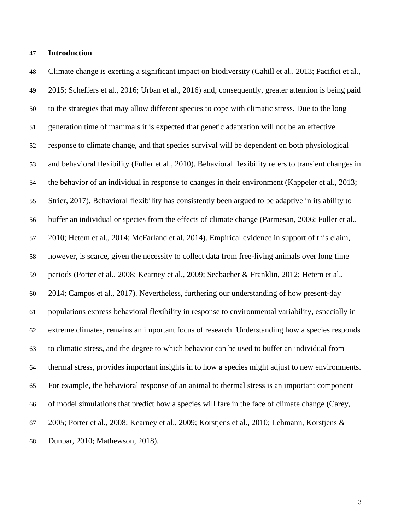#### **Introduction**

 Climate change is exerting a significant impact on biodiversity (Cahill et al., 2013; Pacifici et al., 2015; Scheffers et al., 2016; Urban et al., 2016) and, consequently, greater attention is being paid to the strategies that may allow different species to cope with climatic stress. Due to the long generation time of mammals it is expected that genetic adaptation will not be an effective response to climate change, and that species survival will be dependent on both physiological and behavioral flexibility (Fuller et al., 2010). Behavioral flexibility refers to transient changes in the behavior of an individual in response to changes in their environment (Kappeler et al., 2013; Strier, 2017). Behavioral flexibility has consistently been argued to be adaptive in its ability to buffer an individual or species from the effects of climate change (Parmesan, 2006; Fuller et al., 2010; Hetem et al., 2014; McFarland et al. 2014). Empirical evidence in support of this claim, however, is scarce, given the necessity to collect data from free-living animals over long time periods (Porter et al., 2008; Kearney et al., 2009; Seebacher & Franklin, 2012; Hetem et al., 2014; Campos et al., 2017). Nevertheless, furthering our understanding of how present-day populations express behavioral flexibility in response to environmental variability, especially in extreme climates, remains an important focus of research. Understanding how a species responds to climatic stress, and the degree to which behavior can be used to buffer an individual from thermal stress, provides important insights in to how a species might adjust to new environments. For example, the behavioral response of an animal to thermal stress is an important component of model simulations that predict how a species will fare in the face of climate change (Carey, 2005; Porter et al., 2008; Kearney et al., 2009; Korstjens et al., 2010; Lehmann, Korstjens & Dunbar, 2010; Mathewson, 2018).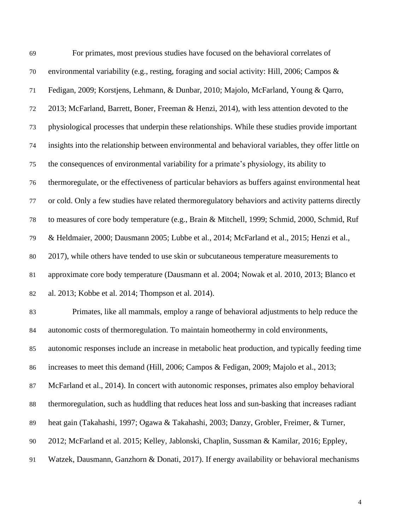| 69 | For primates, most previous studies have focused on the behavioral correlates of                    |
|----|-----------------------------------------------------------------------------------------------------|
| 70 | environmental variability (e.g., resting, foraging and social activity: Hill, 2006; Campos &        |
| 71 | Fedigan, 2009; Korstjens, Lehmann, & Dunbar, 2010; Majolo, McFarland, Young & Qarro,                |
| 72 | 2013; McFarland, Barrett, Boner, Freeman & Henzi, 2014), with less attention devoted to the         |
| 73 | physiological processes that underpin these relationships. While these studies provide important    |
| 74 | insights into the relationship between environmental and behavioral variables, they offer little on |
| 75 | the consequences of environmental variability for a primate's physiology, its ability to            |
| 76 | thermoregulate, or the effectiveness of particular behaviors as buffers against environmental heat  |
| 77 | or cold. Only a few studies have related thermoregulatory behaviors and activity patterns directly  |
| 78 | to measures of core body temperature (e.g., Brain & Mitchell, 1999; Schmid, 2000, Schmid, Ruf       |
| 79 | & Heldmaier, 2000; Dausmann 2005; Lubbe et al., 2014; McFarland et al., 2015; Henzi et al.,         |
| 80 | 2017), while others have tended to use skin or subcutaneous temperature measurements to             |
| 81 | approximate core body temperature (Dausmann et al. 2004; Nowak et al. 2010, 2013; Blanco et         |
| 82 | al. 2013; Kobbe et al. 2014; Thompson et al. 2014).                                                 |
| 83 | Primates, like all mammals, employ a range of behavioral adjustments to help reduce the             |
| 84 | autonomic costs of thermoregulation. To maintain homeothermy in cold environments,                  |
| 85 | autonomic responses include an increase in metabolic heat production, and typically feeding time    |
| 86 | increases to meet this demand (Hill, 2006; Campos & Fedigan, 2009; Majolo et al., 2013;             |
| 87 | McFarland et al., 2014). In concert with autonomic responses, primates also employ behavioral       |
| 88 | thermoregulation, such as huddling that reduces heat loss and sun-basking that increases radiant    |
| 89 | heat gain (Takahashi, 1997; Ogawa & Takahashi, 2003; Danzy, Grobler, Freimer, & Turner,             |
| 90 | 2012; McFarland et al. 2015; Kelley, Jablonski, Chaplin, Sussman & Kamilar, 2016; Eppley,           |
| 91 | Watzek, Dausmann, Ganzhorn & Donati, 2017). If energy availability or behavioral mechanisms         |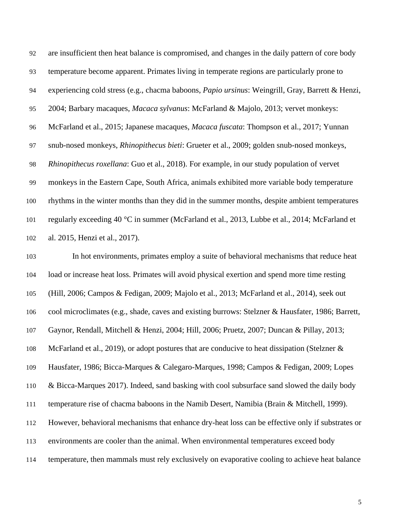are insufficient then heat balance is compromised, and changes in the daily pattern of core body temperature become apparent. Primates living in temperate regions are particularly prone to experiencing cold stress (e.g., chacma baboons, *Papio ursinus*: Weingrill, Gray, Barrett & Henzi, 2004; Barbary macaques, *Macaca sylvanus*: McFarland & Majolo, 2013; vervet monkeys: McFarland et al., 2015; Japanese macaques, *Macaca fuscata*: Thompson et al., 2017; Yunnan snub-nosed monkeys, *Rhinopithecus bieti*: Grueter et al., 2009; golden snub-nosed monkeys, *Rhinopithecus roxellana*: Guo et al., 2018). For example, in our study population of vervet monkeys in the Eastern Cape, South Africa, animals exhibited more variable body temperature rhythms in the winter months than they did in the summer months, despite ambient temperatures regularly exceeding 40 °C in summer (McFarland et al., 2013, Lubbe et al., 2014; McFarland et al. 2015, Henzi et al., 2017).

 In hot environments, primates employ a suite of behavioral mechanisms that reduce heat load or increase heat loss. Primates will avoid physical exertion and spend more time resting (Hill, 2006; Campos & Fedigan, 2009; Majolo et al., 2013; McFarland et al., 2014), seek out cool microclimates (e.g., shade, caves and existing burrows: Stelzner & Hausfater, 1986; Barrett, Gaynor, Rendall, Mitchell & Henzi, 2004; Hill, 2006; Pruetz, 2007; Duncan & Pillay, 2013; 108 McFarland et al., 2019), or adopt postures that are conducive to heat dissipation (Stelzner & Hausfater, 1986; Bicca-Marques & Calegaro-Marques, 1998; Campos & Fedigan, 2009; Lopes & Bicca-Marques 2017). Indeed, sand basking with cool subsurface sand slowed the daily body temperature rise of chacma baboons in the Namib Desert, Namibia (Brain & Mitchell, 1999). However, behavioral mechanisms that enhance dry-heat loss can be effective only if substrates or environments are cooler than the animal. When environmental temperatures exceed body temperature, then mammals must rely exclusively on evaporative cooling to achieve heat balance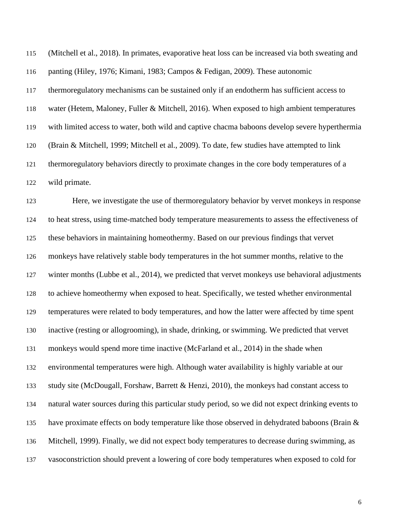(Mitchell et al., 2018). In primates, evaporative heat loss can be increased via both sweating and panting (Hiley, 1976; Kimani, 1983; Campos & Fedigan, 2009). These autonomic thermoregulatory mechanisms can be sustained only if an endotherm has sufficient access to water (Hetem, Maloney, Fuller & Mitchell, 2016). When exposed to high ambient temperatures with limited access to water, both wild and captive chacma baboons develop severe hyperthermia (Brain & Mitchell, 1999; Mitchell et al., 2009). To date, few studies have attempted to link thermoregulatory behaviors directly to proximate changes in the core body temperatures of a wild primate.

 Here, we investigate the use of thermoregulatory behavior by vervet monkeys in response to heat stress, using time-matched body temperature measurements to assess the effectiveness of these behaviors in maintaining homeothermy. Based on our previous findings that vervet monkeys have relatively stable body temperatures in the hot summer months, relative to the 127 winter months (Lubbe et al., 2014), we predicted that vervet monkeys use behavioral adjustments to achieve homeothermy when exposed to heat. Specifically, we tested whether environmental temperatures were related to body temperatures, and how the latter were affected by time spent inactive (resting or allogrooming), in shade, drinking, or swimming. We predicted that vervet monkeys would spend more time inactive (McFarland et al., 2014) in the shade when environmental temperatures were high. Although water availability is highly variable at our study site (McDougall, Forshaw, Barrett & Henzi, 2010), the monkeys had constant access to natural water sources during this particular study period, so we did not expect drinking events to 135 have proximate effects on body temperature like those observed in dehydrated baboons (Brain  $\&$  Mitchell, 1999). Finally, we did not expect body temperatures to decrease during swimming, as vasoconstriction should prevent a lowering of core body temperatures when exposed to cold for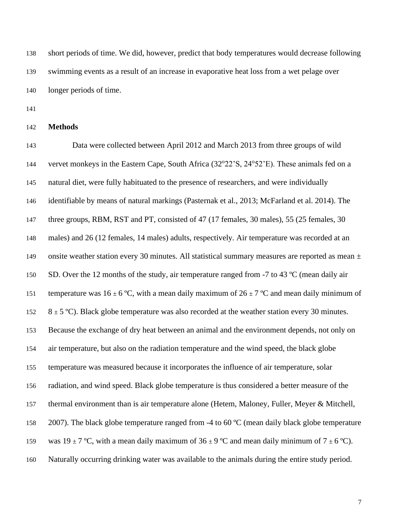short periods of time. We did, however, predict that body temperatures would decrease following swimming events as a result of an increase in evaporative heat loss from a wet pelage over longer periods of time.

**Methods**

 Data were collected between April 2012 and March 2013 from three groups of wild 144 vervet monkeys in the Eastern Cape, South Africa (32°22'S, 24°52'E). These animals fed on a natural diet, were fully habituated to the presence of researchers, and were individually identifiable by means of natural markings (Pasternak et al., 2013; McFarland et al. 2014). The three groups, RBM, RST and PT, consisted of 47 (17 females, 30 males), 55 (25 females, 30 males) and 26 (12 females, 14 males) adults, respectively. Air temperature was recorded at an 149 onsite weather station every 30 minutes. All statistical summary measures are reported as mean  $\pm$ 150 SD. Over the 12 months of the study, air temperature ranged from -7 to 43 °C (mean daily air 151 temperature was  $16 \pm 6^{\circ}$ C, with a mean daily maximum of  $26 \pm 7^{\circ}$ C and mean daily minimum of  $8 \pm 5$  °C). Black globe temperature was also recorded at the weather station every 30 minutes. Because the exchange of dry heat between an animal and the environment depends, not only on air temperature, but also on the radiation temperature and the wind speed, the black globe temperature was measured because it incorporates the influence of air temperature, solar radiation, and wind speed. Black globe temperature is thus considered a better measure of the thermal environment than is air temperature alone (Hetem, Maloney, Fuller, Meyer & Mitchell, 158 2007). The black globe temperature ranged from -4 to 60 °C (mean daily black globe temperature 159 was  $19 \pm 7$  °C, with a mean daily maximum of  $36 \pm 9$  °C and mean daily minimum of  $7 \pm 6$  °C). Naturally occurring drinking water was available to the animals during the entire study period.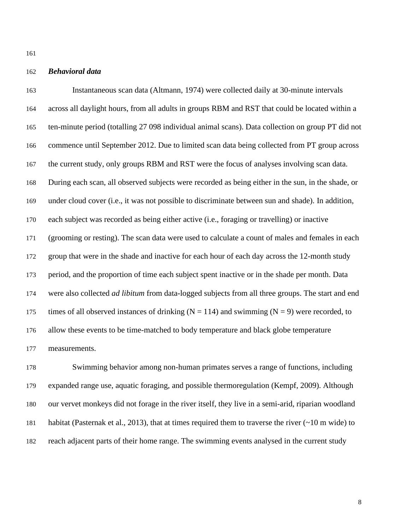## *Behavioral data*

 Instantaneous scan data (Altmann, 1974) were collected daily at 30-minute intervals across all daylight hours, from all adults in groups RBM and RST that could be located within a ten-minute period (totalling 27 098 individual animal scans). Data collection on group PT did not commence until September 2012. Due to limited scan data being collected from PT group across the current study, only groups RBM and RST were the focus of analyses involving scan data. During each scan, all observed subjects were recorded as being either in the sun, in the shade, or under cloud cover (i.e., it was not possible to discriminate between sun and shade). In addition, each subject was recorded as being either active (i.e., foraging or travelling) or inactive (grooming or resting). The scan data were used to calculate a count of males and females in each group that were in the shade and inactive for each hour of each day across the 12-month study period, and the proportion of time each subject spent inactive or in the shade per month. Data were also collected *ad libitum* from data-logged subjects from all three groups. The start and end 175 times of all observed instances of drinking ( $N = 114$ ) and swimming ( $N = 9$ ) were recorded, to allow these events to be time-matched to body temperature and black globe temperature measurements.

 Swimming behavior among non-human primates serves a range of functions, including expanded range use, aquatic foraging, and possible thermoregulation (Kempf, 2009). Although our vervet monkeys did not forage in the river itself, they live in a semi-arid, riparian woodland habitat (Pasternak et al., 2013), that at times required them to traverse the river (~10 m wide) to reach adjacent parts of their home range. The swimming events analysed in the current study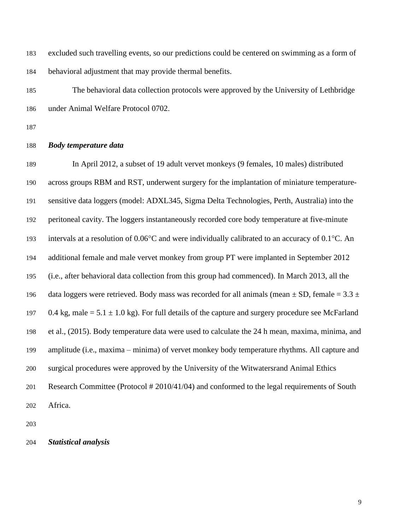excluded such travelling events, so our predictions could be centered on swimming as a form of behavioral adjustment that may provide thermal benefits.

 The behavioral data collection protocols were approved by the University of Lethbridge under Animal Welfare Protocol 0702.

#### *Body temperature data*

 In April 2012, a subset of 19 adult vervet monkeys (9 females, 10 males) distributed across groups RBM and RST, underwent surgery for the implantation of miniature temperature- sensitive data loggers (model: ADXL345, Sigma Delta Technologies, Perth, Australia) into the peritoneal cavity. The loggers instantaneously recorded core body temperature at five-minute 193 intervals at a resolution of  $0.06^{\circ}$ C and were individually calibrated to an accuracy of  $0.1^{\circ}$ C. An additional female and male vervet monkey from group PT were implanted in September 2012 (i.e., after behavioral data collection from this group had commenced). In March 2013, all the 196 data loggers were retrieved. Body mass was recorded for all animals (mean  $\pm$  SD, female = 3.3  $\pm$ 197 0.4 kg, male =  $5.1 \pm 1.0$  kg). For full details of the capture and surgery procedure see McFarland et al., (2015). Body temperature data were used to calculate the 24 h mean, maxima, minima, and amplitude (i.e., maxima – minima) of vervet monkey body temperature rhythms. All capture and surgical procedures were approved by the University of the Witwatersrand Animal Ethics Research Committee (Protocol # 2010/41/04) and conformed to the legal requirements of South Africa.

*Statistical analysis*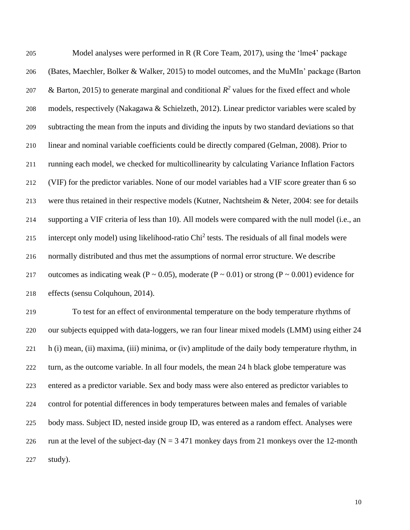| 205 | Model analyses were performed in R (R Core Team, 2017), using the 'lme4' package                                    |
|-----|---------------------------------------------------------------------------------------------------------------------|
| 206 | (Bates, Maechler, Bolker & Walker, 2015) to model outcomes, and the MuMIn' package (Barton                          |
| 207 | & Barton, 2015) to generate marginal and conditional $R^2$ values for the fixed effect and whole                    |
| 208 | models, respectively (Nakagawa & Schielzeth, 2012). Linear predictor variables were scaled by                       |
| 209 | subtracting the mean from the inputs and dividing the inputs by two standard deviations so that                     |
| 210 | linear and nominal variable coefficients could be directly compared (Gelman, 2008). Prior to                        |
| 211 | running each model, we checked for multicollinearity by calculating Variance Inflation Factors                      |
| 212 | (VIF) for the predictor variables. None of our model variables had a VIF score greater than 6 so                    |
| 213 | were thus retained in their respective models (Kutner, Nachtsheim & Neter, 2004: see for details                    |
| 214 | supporting a VIF criteria of less than 10). All models were compared with the null model (i.e., an                  |
| 215 | intercept only model) using likelihood-ratio Chi <sup>2</sup> tests. The residuals of all final models were         |
| 216 | normally distributed and thus met the assumptions of normal error structure. We describe                            |
| 217 | outcomes as indicating weak ( $P \sim 0.05$ ), moderate ( $P \sim 0.01$ ) or strong ( $P \sim 0.001$ ) evidence for |
| 218 | effects (sensu Colquhoun, 2014).                                                                                    |
| 219 | To test for an effect of environmental temperature on the body temperature rhythms of                               |
| 220 | our subjects equipped with data-loggers, we ran four linear mixed models (LMM) using either 24                      |
|     |                                                                                                                     |

 h (i) mean, (ii) maxima, (iii) minima, or (iv) amplitude of the daily body temperature rhythm, in turn, as the outcome variable. In all four models, the mean 24 h black globe temperature was entered as a predictor variable. Sex and body mass were also entered as predictor variables to control for potential differences in body temperatures between males and females of variable body mass. Subject ID, nested inside group ID, was entered as a random effect. Analyses were 226 run at the level of the subject-day ( $N = 3471$  monkey days from 21 monkeys over the 12-month study).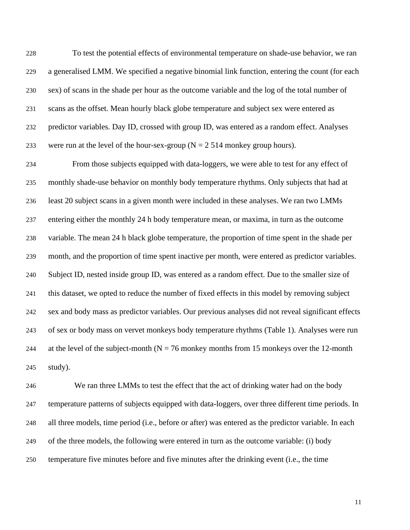To test the potential effects of environmental temperature on shade-use behavior, we ran a generalised LMM. We specified a negative binomial link function, entering the count (for each sex) of scans in the shade per hour as the outcome variable and the log of the total number of scans as the offset. Mean hourly black globe temperature and subject sex were entered as predictor variables. Day ID, crossed with group ID, was entered as a random effect. Analyses 233 were run at the level of the hour-sex-group ( $N = 2514$  monkey group hours).

 From those subjects equipped with data-loggers, we were able to test for any effect of monthly shade-use behavior on monthly body temperature rhythms. Only subjects that had at least 20 subject scans in a given month were included in these analyses. We ran two LMMs entering either the monthly 24 h body temperature mean, or maxima, in turn as the outcome variable. The mean 24 h black globe temperature, the proportion of time spent in the shade per month, and the proportion of time spent inactive per month, were entered as predictor variables. Subject ID, nested inside group ID, was entered as a random effect. Due to the smaller size of this dataset, we opted to reduce the number of fixed effects in this model by removing subject sex and body mass as predictor variables. Our previous analyses did not reveal significant effects of sex or body mass on vervet monkeys body temperature rhythms (Table 1). Analyses were run 244 at the level of the subject-month ( $N = 76$  monkey months from 15 monkeys over the 12-month study).

 We ran three LMMs to test the effect that the act of drinking water had on the body temperature patterns of subjects equipped with data-loggers, over three different time periods. In all three models, time period (i.e., before or after) was entered as the predictor variable. In each of the three models, the following were entered in turn as the outcome variable: (i) body temperature five minutes before and five minutes after the drinking event (i.e., the time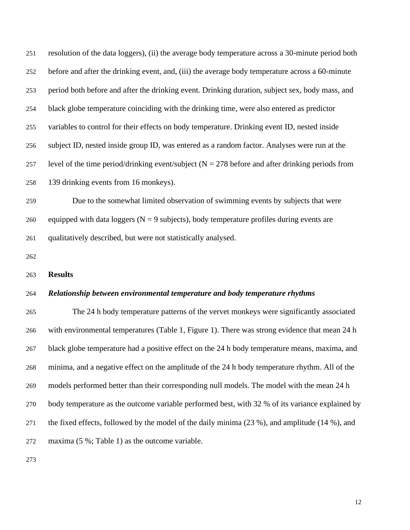| 251 | resolution of the data loggers), (ii) the average body temperature across a 30-minute period both    |
|-----|------------------------------------------------------------------------------------------------------|
| 252 | before and after the drinking event, and, (iii) the average body temperature across a 60-minute      |
| 253 | period both before and after the drinking event. Drinking duration, subject sex, body mass, and      |
| 254 | black globe temperature coinciding with the drinking time, were also entered as predictor            |
| 255 | variables to control for their effects on body temperature. Drinking event ID, nested inside         |
| 256 | subject ID, nested inside group ID, was entered as a random factor. Analyses were run at the         |
| 257 | level of the time period/drinking event/subject ( $N = 278$ before and after drinking periods from   |
| 258 | 139 drinking events from 16 monkeys).                                                                |
| 259 | Due to the somewhat limited observation of swimming events by subjects that were                     |
| 260 | equipped with data loggers ( $N = 9$ subjects), body temperature profiles during events are          |
| 261 | qualitatively described, but were not statistically analysed.                                        |
| 262 |                                                                                                      |
| 263 | <b>Results</b>                                                                                       |
| 264 | Relationship between environmental temperature and body temperature rhythms                          |
| 265 | The 24 h body temperature patterns of the vervet monkeys were significantly associated               |
| 266 | with environmental temperatures (Table 1, Figure 1). There was strong evidence that mean 24 h        |
| 267 | black globe temperature had a positive effect on the 24 h body temperature means, maxima, and        |
| 268 | minima, and a negative effect on the amplitude of the 24 h body temperature rhythm. All of the       |
| 269 | models performed better than their corresponding null models. The model with the mean 24 h           |
| 270 | body temperature as the outcome variable performed best, with 32 % of its variance explained by      |
| 271 | the fixed effects, followed by the model of the daily minima $(23\%)$ , and amplitude $(14\%)$ , and |
|     |                                                                                                      |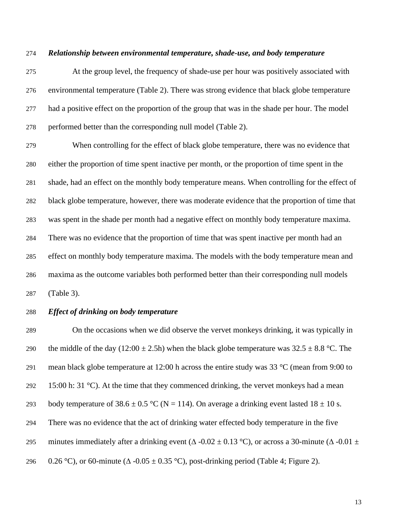#### *Relationship between environmental temperature, shade-use, and body temperature*

 At the group level, the frequency of shade-use per hour was positively associated with environmental temperature (Table 2). There was strong evidence that black globe temperature had a positive effect on the proportion of the group that was in the shade per hour. The model performed better than the corresponding null model (Table 2).

 When controlling for the effect of black globe temperature, there was no evidence that either the proportion of time spent inactive per month, or the proportion of time spent in the shade, had an effect on the monthly body temperature means. When controlling for the effect of black globe temperature, however, there was moderate evidence that the proportion of time that was spent in the shade per month had a negative effect on monthly body temperature maxima. There was no evidence that the proportion of time that was spent inactive per month had an effect on monthly body temperature maxima. The models with the body temperature mean and maxima as the outcome variables both performed better than their corresponding null models (Table 3).

## *Effect of drinking on body temperature*

 On the occasions when we did observe the vervet monkeys drinking, it was typically in 290 the middle of the day (12:00  $\pm$  2.5h) when the black globe temperature was 32.5  $\pm$  8.8 °C. The 291 mean black globe temperature at 12:00 h across the entire study was  $33 \degree C$  (mean from 9:00 to 292 15:00 h: 31  $^{\circ}$ C). At the time that they commenced drinking, the vervet monkeys had a mean 293 body temperature of  $38.6 \pm 0.5$  °C (N = 114). On average a drinking event lasted  $18 \pm 10$  s. There was no evidence that the act of drinking water effected body temperature in the five 295 minutes immediately after a drinking event ( $\triangle$  -0.02  $\pm$  0.13 °C), or across a 30-minute ( $\triangle$  -0.01  $\pm$ 296 0.26 °C), or 60-minute ( $\triangle$  -0.05  $\pm$  0.35 °C), post-drinking period (Table 4; Figure 2).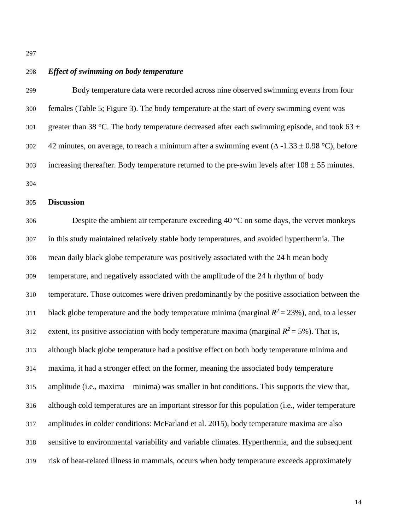# *Effect of swimming on body temperature*

 Body temperature data were recorded across nine observed swimming events from four females (Table 5; Figure 3). The body temperature at the start of every swimming event was 301 greater than 38 °C. The body temperature decreased after each swimming episode, and took 63  $\pm$ 302 42 minutes, on average, to reach a minimum after a swimming event  $(\Delta -1.33 \pm 0.98 \degree C)$ , before 303 increasing thereafter. Body temperature returned to the pre-swim levels after  $108 \pm 55$  minutes. 

# **Discussion**

306 Despite the ambient air temperature exceeding  $40^{\circ}$ C on some days, the vervet monkeys in this study maintained relatively stable body temperatures, and avoided hyperthermia. The mean daily black globe temperature was positively associated with the 24 h mean body temperature, and negatively associated with the amplitude of the 24 h rhythm of body temperature. Those outcomes were driven predominantly by the positive association between the 311 black globe temperature and the body temperature minima (marginal  $R^2 = 23\%$ ), and, to a lesser extent, its positive association with body temperature maxima (marginal  $R^2 = 5\%$ ). That is, although black globe temperature had a positive effect on both body temperature minima and maxima, it had a stronger effect on the former, meaning the associated body temperature amplitude (i.e., maxima – minima) was smaller in hot conditions. This supports the view that, although cold temperatures are an important stressor for this population (i.e., wider temperature amplitudes in colder conditions: McFarland et al. 2015), body temperature maxima are also sensitive to environmental variability and variable climates. Hyperthermia, and the subsequent risk of heat-related illness in mammals, occurs when body temperature exceeds approximately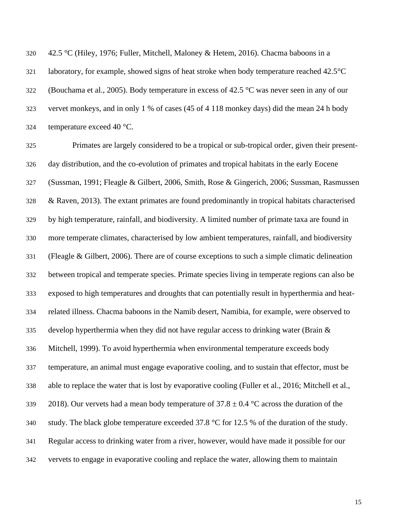42.5 °C (Hiley, 1976; Fuller, Mitchell, Maloney & Hetem, 2016). Chacma baboons in a laboratory, for example, showed signs of heat stroke when body temperature reached 42.5°C (Bouchama et al., 2005). Body temperature in excess of 42.5 °C was never seen in any of our vervet monkeys, and in only 1 % of cases (45 of 4 118 monkey days) did the mean 24 h body temperature exceed 40 °C.

 Primates are largely considered to be a tropical or sub-tropical order, given their present- day distribution, and the co-evolution of primates and tropical habitats in the early Eocene (Sussman, 1991; Fleagle & Gilbert, 2006, Smith, Rose & Gingerich, 2006; Sussman, Rasmussen & Raven, 2013). The extant primates are found predominantly in tropical habitats characterised by high temperature, rainfall, and biodiversity. A limited number of primate taxa are found in more temperate climates, characterised by low ambient temperatures, rainfall, and biodiversity (Fleagle & Gilbert, 2006). There are of course exceptions to such a simple climatic delineation between tropical and temperate species. Primate species living in temperate regions can also be exposed to high temperatures and droughts that can potentially result in hyperthermia and heat- related illness. Chacma baboons in the Namib desert, Namibia, for example, were observed to 335 develop hyperthermia when they did not have regular access to drinking water (Brain  $\&$  Mitchell, 1999). To avoid hyperthermia when environmental temperature exceeds body temperature, an animal must engage evaporative cooling, and to sustain that effector, must be able to replace the water that is lost by evaporative cooling (Fuller et al., 2016; Mitchell et al., 339 2018). Our vervets had a mean body temperature of  $37.8 \pm 0.4$  °C across the duration of the 340 study. The black globe temperature exceeded  $37.8 \text{ °C}$  for 12.5 % of the duration of the study. Regular access to drinking water from a river, however, would have made it possible for our vervets to engage in evaporative cooling and replace the water, allowing them to maintain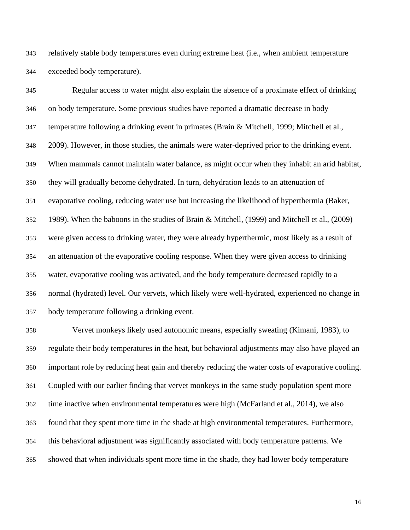relatively stable body temperatures even during extreme heat (i.e., when ambient temperature exceeded body temperature).

 Regular access to water might also explain the absence of a proximate effect of drinking on body temperature. Some previous studies have reported a dramatic decrease in body temperature following a drinking event in primates (Brain & Mitchell, 1999; Mitchell et al., 2009). However, in those studies, the animals were water-deprived prior to the drinking event. When mammals cannot maintain water balance, as might occur when they inhabit an arid habitat, they will gradually become dehydrated. In turn, dehydration leads to an attenuation of evaporative cooling, reducing water use but increasing the likelihood of hyperthermia (Baker, 1989). When the baboons in the studies of Brain & Mitchell, (1999) and Mitchell et al., (2009) were given access to drinking water, they were already hyperthermic, most likely as a result of an attenuation of the evaporative cooling response. When they were given access to drinking water, evaporative cooling was activated, and the body temperature decreased rapidly to a normal (hydrated) level. Our vervets, which likely were well-hydrated, experienced no change in body temperature following a drinking event.

 Vervet monkeys likely used autonomic means, especially sweating (Kimani, 1983), to regulate their body temperatures in the heat, but behavioral adjustments may also have played an important role by reducing heat gain and thereby reducing the water costs of evaporative cooling. Coupled with our earlier finding that vervet monkeys in the same study population spent more time inactive when environmental temperatures were high (McFarland et al., 2014), we also found that they spent more time in the shade at high environmental temperatures. Furthermore, this behavioral adjustment was significantly associated with body temperature patterns. We showed that when individuals spent more time in the shade, they had lower body temperature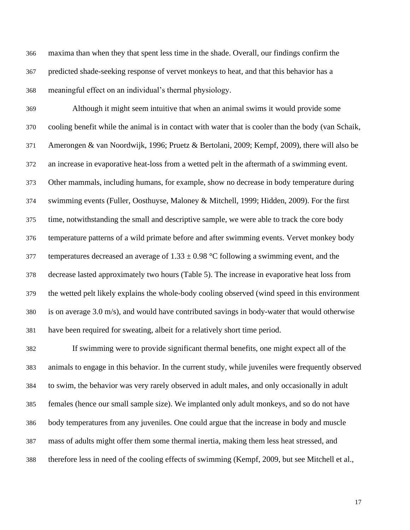maxima than when they that spent less time in the shade. Overall, our findings confirm the predicted shade-seeking response of vervet monkeys to heat, and that this behavior has a meaningful effect on an individual's thermal physiology.

 Although it might seem intuitive that when an animal swims it would provide some cooling benefit while the animal is in contact with water that is cooler than the body (van Schaik, Amerongen & van Noordwijk, 1996; Pruetz & Bertolani, 2009; Kempf, 2009), there will also be an increase in evaporative heat-loss from a wetted pelt in the aftermath of a swimming event. Other mammals, including humans, for example, show no decrease in body temperature during swimming events (Fuller, Oosthuyse, Maloney & Mitchell, 1999; Hidden, 2009). For the first time, notwithstanding the small and descriptive sample, we were able to track the core body temperature patterns of a wild primate before and after swimming events. Vervet monkey body 377 temperatures decreased an average of  $1.33 \pm 0.98$  °C following a swimming event, and the decrease lasted approximately two hours (Table 5). The increase in evaporative heat loss from the wetted pelt likely explains the whole-body cooling observed (wind speed in this environment is on average 3.0 m/s), and would have contributed savings in body-water that would otherwise have been required for sweating, albeit for a relatively short time period.

 If swimming were to provide significant thermal benefits, one might expect all of the animals to engage in this behavior. In the current study, while juveniles were frequently observed to swim, the behavior was very rarely observed in adult males, and only occasionally in adult females (hence our small sample size). We implanted only adult monkeys, and so do not have body temperatures from any juveniles. One could argue that the increase in body and muscle mass of adults might offer them some thermal inertia, making them less heat stressed, and therefore less in need of the cooling effects of swimming (Kempf, 2009, but see Mitchell et al.,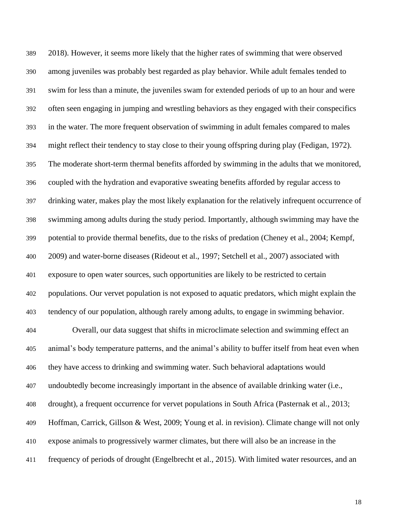2018). However, it seems more likely that the higher rates of swimming that were observed among juveniles was probably best regarded as play behavior. While adult females tended to swim for less than a minute, the juveniles swam for extended periods of up to an hour and were often seen engaging in jumping and wrestling behaviors as they engaged with their conspecifics in the water. The more frequent observation of swimming in adult females compared to males might reflect their tendency to stay close to their young offspring during play (Fedigan, 1972). The moderate short-term thermal benefits afforded by swimming in the adults that we monitored, coupled with the hydration and evaporative sweating benefits afforded by regular access to drinking water, makes play the most likely explanation for the relatively infrequent occurrence of swimming among adults during the study period. Importantly, although swimming may have the potential to provide thermal benefits, due to the risks of predation (Cheney et al., 2004; Kempf, 2009) and water-borne diseases (Rideout et al., 1997; Setchell et al., 2007) associated with exposure to open water sources, such opportunities are likely to be restricted to certain populations. Our vervet population is not exposed to aquatic predators, which might explain the tendency of our population, although rarely among adults, to engage in swimming behavior.

 Overall, our data suggest that shifts in microclimate selection and swimming effect an animal's body temperature patterns, and the animal's ability to buffer itself from heat even when they have access to drinking and swimming water. Such behavioral adaptations would undoubtedly become increasingly important in the absence of available drinking water (i.e., drought), a frequent occurrence for vervet populations in South Africa (Pasternak et al., 2013; Hoffman, Carrick, Gillson & West, 2009; Young et al. in revision). Climate change will not only expose animals to progressively warmer climates, but there will also be an increase in the frequency of periods of drought (Engelbrecht et al., 2015). With limited water resources, and an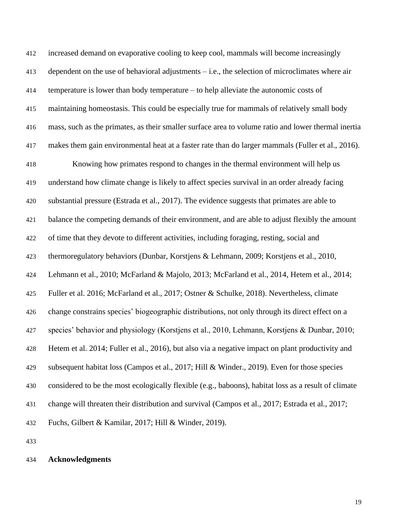increased demand on evaporative cooling to keep cool, mammals will become increasingly dependent on the use of behavioral adjustments – i.e., the selection of microclimates where air temperature is lower than body temperature – to help alleviate the autonomic costs of maintaining homeostasis. This could be especially true for mammals of relatively small body mass, such as the primates, as their smaller surface area to volume ratio and lower thermal inertia makes them gain environmental heat at a faster rate than do larger mammals (Fuller et al., 2016). Knowing how primates respond to changes in the thermal environment will help us understand how climate change is likely to affect species survival in an order already facing substantial pressure (Estrada et al., 2017). The evidence suggests that primates are able to balance the competing demands of their environment, and are able to adjust flexibly the amount of time that they devote to different activities, including foraging, resting, social and thermoregulatory behaviors (Dunbar, Korstjens & Lehmann, 2009; Korstjens et al., 2010, Lehmann et al., 2010; McFarland & Majolo, 2013; McFarland et al., 2014, Hetem et al., 2014; Fuller et al. 2016; McFarland et al., 2017; Ostner & Schulke, 2018). Nevertheless, climate change constrains species' biogeographic distributions, not only through its direct effect on a species' behavior and physiology (Korstjens et al., 2010, Lehmann, Korstjens & Dunbar, 2010; Hetem et al. 2014; Fuller et al., 2016), but also via a negative impact on plant productivity and subsequent habitat loss (Campos et al., 2017; Hill & Winder., 2019). Even for those species considered to be the most ecologically flexible (e.g., baboons), habitat loss as a result of climate change will threaten their distribution and survival (Campos et al., 2017; Estrada et al., 2017; Fuchs, Gilbert & Kamilar, 2017; Hill & Winder, 2019).

### **Acknowledgments**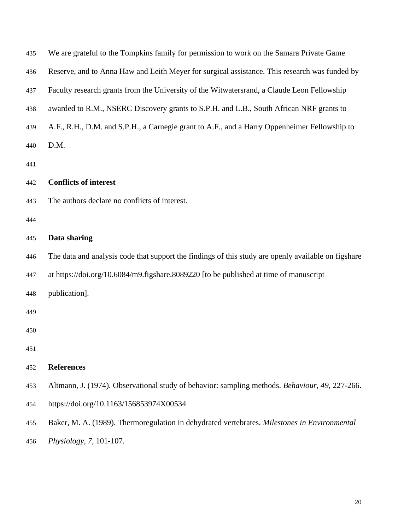| 435 | We are grateful to the Tompkins family for permission to work on the Samara Private Game            |
|-----|-----------------------------------------------------------------------------------------------------|
| 436 | Reserve, and to Anna Haw and Leith Meyer for surgical assistance. This research was funded by       |
| 437 | Faculty research grants from the University of the Witwatersrand, a Claude Leon Fellowship          |
| 438 | awarded to R.M., NSERC Discovery grants to S.P.H. and L.B., South African NRF grants to             |
| 439 | A.F., R.H., D.M. and S.P.H., a Carnegie grant to A.F., and a Harry Oppenheimer Fellowship to        |
| 440 | D.M.                                                                                                |
| 441 |                                                                                                     |
| 442 | <b>Conflicts of interest</b>                                                                        |
| 443 | The authors declare no conflicts of interest.                                                       |
| 444 |                                                                                                     |
| 445 | Data sharing                                                                                        |
| 446 | The data and analysis code that support the findings of this study are openly available on figshare |
| 447 | at https://doi.org/10.6084/m9.figshare.8089220 [to be published at time of manuscript               |
| 448 | publication].                                                                                       |
| 449 |                                                                                                     |
| 450 |                                                                                                     |
| 451 |                                                                                                     |
| 452 | <b>References</b>                                                                                   |
| 453 | Altmann, J. (1974). Observational study of behavior: sampling methods. Behaviour, 49, 227-266.      |
| 454 | https://doi.org/10.1163/156853974X00534                                                             |
| 455 | Baker, M. A. (1989). Thermoregulation in dehydrated vertebrates. Milestones in Environmental        |
| 456 | Physiology, 7, 101-107.                                                                             |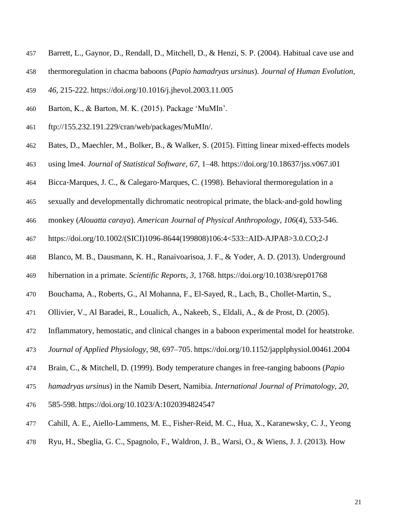- Barrett, L., Gaynor, D., Rendall, D., Mitchell, D., & Henzi, S. P. (2004). Habitual cave use and
- thermoregulation in chacma baboons (*Papio hamadryas ursinus*). *Journal of Human Evolution,*
- *46*, 215-222. <https://doi.org/10.1016/j.jhevol.2003.11.005>
- Barton, K., & Barton, M. K. (2015). Package 'MuMIn'.
- [ftp://155.232.191.229/cran/web/packages/MuMIn/.](ftp://155.232.191.229/cran/web/packages/MuMIn/)
- Bates, D., Maechler, M., Bolker, B., & Walker, S. (2015). Fitting linear mixed-effects models
- using lme4. *Journal of Statistical Software, 67*, 1–48. <https://doi.org/10.18637/jss.v067.i01>
- Bicca‐Marques, J. C., & Calegaro‐Marques, C. (1998). Behavioral thermoregulation in a
- sexually and developmentally dichromatic neotropical primate, the black‐and‐gold howling
- monkey (*Alouatta caraya*). *American Journal of Physical Anthropology, 106*(4), 533-546.
- [https://doi.org/10.1002/\(SICI\)1096-8644\(199808\)106:4<533::AID-AJPA8>3.0.CO;2-J](https://doi.org/10.1002/(SICI)1096-8644(199808)106:4%3c533::AID-AJPA8%3e3.0.CO;2-J)
- Blanco, M. B., Dausmann, K. H., Ranaivoarisoa, J. F., & Yoder, A. D. (2013). Underground
- hibernation in a primate. *Scientific Reports, 3*, 1768. <https://doi.org/10.1038/srep01768>
- Bouchama, A., Roberts, G., Al Mohanna, F., El-Sayed, R., Lach, B., Chollet-Martin, S.,
- Ollivier, V., Al Baradei, R., Loualich, A., Nakeeb, S., Eldali, A., & de Prost, D. (2005).
- Inflammatory, hemostatic, and clinical changes in a baboon experimental model for heatstroke.
- *Journal of Applied Physiology*, *98*, 697–705. <https://doi.org/10.1152/japplphysiol.00461.2004>
- Brain, C., & Mitchell, D. (1999). Body temperature changes in free-ranging baboons (*Papio*
- *hamadryas ursinus*) in the Namib Desert, Namibia. *International Journal of Primatology*, *20*,
- 585-598. <https://doi.org/10.1023/A:1020394824547>
- Cahill, A. E., Aiello-Lammens, M. E., Fisher-Reid, M. C., Hua, X., Karanewsky, C. J., Yeong
- Ryu, H., Sbeglia, G. C., Spagnolo, F., Waldron, J. B., Warsi, O., & Wiens, J. J. (2013). How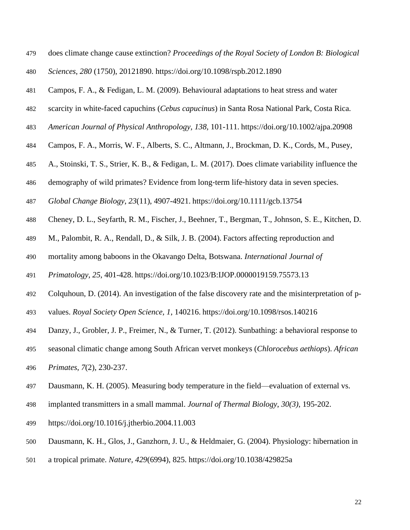- does climate change cause extinction? *Proceedings of the Royal Society of London B: Biological*
- *Sciences*, *280* (1750), 20121890.<https://doi.org/10.1098/rspb.2012.1890>
- Campos, F. A., & Fedigan, L. M. (2009). Behavioural adaptations to heat stress and water
- scarcity in white-faced capuchins (*Cebus capucinus*) in Santa Rosa National Park, Costa Rica.
- *American Journal of Physical Anthropology, 138,* 101-111. <https://doi.org/10.1002/ajpa.20908>
- Campos, F. A., Morris, W. F., Alberts, S. C., Altmann, J., Brockman, D. K., Cords, M., Pusey,
- A., Stoinski, T. S., Strier, K. B., & Fedigan, L. M. (2017). Does climate variability influence the
- 486 demography of wild primates? Evidence from long-term life-history data in seven species.
- *Global Change Biology*, *23*(11), 4907-4921. <https://doi.org/10.1111/gcb.13754>
- Cheney, D. L., Seyfarth, R. M., Fischer, J., Beehner, T., Bergman, T., Johnson, S. E., Kitchen, D.
- M., Palombit, R. A., Rendall, D., & Silk, J. B. (2004). Factors affecting reproduction and
- mortality among baboons in the Okavango Delta, Botswana. *International Journal of*
- *Primatology, 25*, 401-428. <https://doi.org/10.1023/B:IJOP.0000019159.75573.13>
- Colquhoun, D. (2014). An investigation of the false discovery rate and the misinterpretation of p-
- values. *Royal Society Open Science, 1*, 140216. <https://doi.org/10.1098/rsos.140216>
- Danzy, J., Grobler, J. P., Freimer, N., & Turner, T. (2012). Sunbathing: a behavioral response to
- seasonal climatic change among South African vervet monkeys (*Chlorocebus aethiops*). *African*
- *Primates*, *7*(2), 230-237.
- Dausmann, K. H. (2005). Measuring body temperature in the field—evaluation of external vs.
- implanted transmitters in a small mammal. *Journal of Thermal Biology*, *30(3)*, 195-202.
- <https://doi.org/10.1016/j.jtherbio.2004.11.003>
- Dausmann, K. H., Glos, J., Ganzhorn, J. U., & Heldmaier, G. (2004). Physiology: hibernation in
- a tropical primate. *Nature, 429*(6994), 825.<https://doi.org/10.1038/429825a>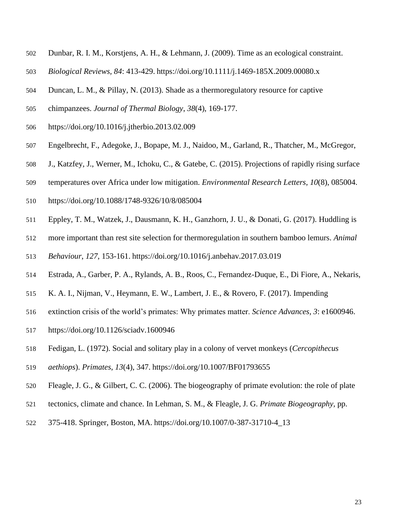- Dunbar, R. I. M., Korstjens, A. H., & Lehmann, J. (2009). Time as an ecological constraint.
- *Biological Reviews, 84*: 413-429. <https://doi.org/10.1111/j.1469-185X.2009.00080.x>
- Duncan, L. M., & Pillay, N. (2013). Shade as a thermoregulatory resource for captive
- chimpanzees. *Journal of Thermal Biology*, *38*(4), 169-177.
- <https://doi.org/10.1016/j.jtherbio.2013.02.009>
- Engelbrecht, F., Adegoke, J., Bopape, M. J., Naidoo, M., Garland, R., Thatcher, M., McGregor,
- J., Katzfey, J., Werner, M., Ichoku, C., & Gatebe, C. (2015). Projections of rapidly rising surface
- temperatures over Africa under low mitigation. *Environmental Research Letters*, *10*(8), 085004.
- <https://doi.org/10.1088/1748-9326/10/8/085004>
- Eppley, T. M., Watzek, J., Dausmann, K. H., Ganzhorn, J. U., & Donati, G. (2017). Huddling is
- more important than rest site selection for thermoregulation in southern bamboo lemurs. *Animal*
- *Behaviour*, *127*, 153-161. <https://doi.org/10.1016/j.anbehav.2017.03.019>
- Estrada, A., Garber, P. A., Rylands, A. B., Roos, C., Fernandez-Duque, E., Di Fiore, A., Nekaris,
- K. A. I., Nijman, V., Heymann, E. W., Lambert, J. E., & Rovero, F. (2017). Impending
- extinction crisis of the world's primates: Why primates matter. *Science Advances, 3*: e1600946.
- <https://doi.org/10.1126/sciadv.1600946>
- Fedigan, L. (1972). Social and solitary play in a colony of vervet monkeys (*Cercopithecus*
- *aethiops*). *Primates*, *13*(4), 347. <https://doi.org/10.1007/BF01793655>
- Fleagle, J. G., & Gilbert, C. C. (2006). The biogeography of primate evolution: the role of plate
- tectonics, climate and chance. In Lehman, S. M., & Fleagle, J. G. *Primate Biogeography,* pp.
- 375-418. Springer, Boston, MA. [https://doi.org/10.1007/0-387-31710-4\\_13](https://doi.org/10.1007/0-387-31710-4_13)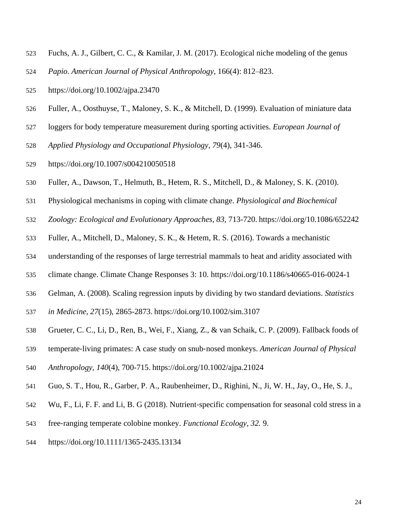- Fuchs, A. J., Gilbert, C. C., & Kamilar, J. M. (2017). Ecological niche modeling of the genus
- *Papio*. *American Journal of Physical Anthropology*, 166(4): 812–823.
- <https://doi.org/10.1002/ajpa.23470>
- Fuller, A., Oosthuyse, T., Maloney, S. K., & Mitchell, D. (1999). Evaluation of miniature data
- loggers for body temperature measurement during sporting activities. *European Journal of*
- *Applied Physiology and Occupational Physiology*, *79*(4), 341-346.
- <https://doi.org/10.1007/s004210050518>
- Fuller, A., Dawson, T., Helmuth, B., Hetem, R. S., Mitchell, D., & Maloney, S. K. (2010).
- Physiological mechanisms in coping with climate change. *Physiological and Biochemical*
- *Zoology: Ecological and Evolutionary Approaches, 83,* 713-720. <https://doi.org/10.1086/652242>
- Fuller, A., Mitchell, D., Maloney, S. K., & Hetem, R. S. (2016). Towards a mechanistic
- understanding of the responses of large terrestrial mammals to heat and aridity associated with
- climate change. Climate Change Responses 3: 10.<https://doi.org/10.1186/s40665-016-0024-1>
- Gelman, A. (2008). Scaling regression inputs by dividing by two standard deviations. *Statistics*
- *in Medicine*, *27*(15), 2865-2873. <https://doi.org/10.1002/sim.3107>
- Grueter, C. C., Li, D., Ren, B., Wei, F., Xiang, Z., & van Schaik, C. P. (2009). Fallback foods of
- 539 temperate-living primates: A case study on snub-nosed monkeys. *American Journal of Physical*
- *Anthropology*, *140*(4), 700-715. <https://doi.org/10.1002/ajpa.21024>
- Guo, S. T., Hou, R., Garber, P. A., Raubenheimer, D., Righini, N., Ji, W. H., Jay, O., He, S. J.,
- Wu, F., Li, F. F. and Li, B. G (2018). Nutrient‐specific compensation for seasonal cold stress in a
- free‐ranging temperate colobine monkey. *Functional Ecology, 32.* 9.
- <https://doi.org/10.1111/1365-2435.13134>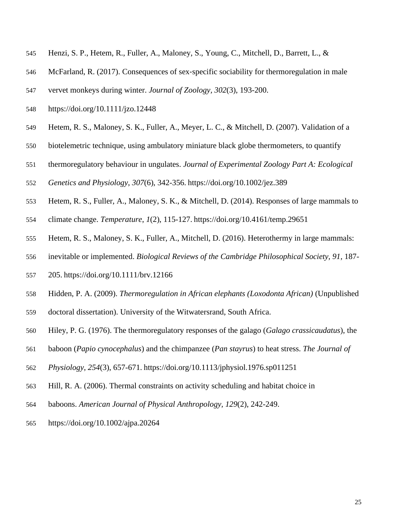- Henzi, S. P., Hetem, R., Fuller, A., Maloney, S., Young, C., Mitchell, D., Barrett, L., &
- McFarland, R. (2017). Consequences of sex‐specific sociability for thermoregulation in male
- vervet monkeys during winter. *Journal of Zoology, 302*(3), 193-200.
- <https://doi.org/10.1111/jzo.12448>
- Hetem, R. S., Maloney, S. K., Fuller, A., Meyer, L. C., & Mitchell, D. (2007). Validation of a
- biotelemetric technique, using ambulatory miniature black globe thermometers, to quantify
- thermoregulatory behaviour in ungulates. *Journal of Experimental Zoology Part A: Ecological*
- *Genetics and Physiology*, *307*(6), 342-356. <https://doi.org/10.1002/jez.389>
- Hetem, R. S., Fuller, A., Maloney, S. K., & Mitchell, D. (2014). Responses of large mammals to
- climate change. *Temperature*, *1*(2), 115-127. <https://doi.org/10.4161/temp.29651>
- Hetem, R. S., Maloney, S. K., Fuller, A., Mitchell, D. (2016). Heterothermy in large mammals:
- inevitable or implemented. *Biological Reviews of the Cambridge Philosophical Society, 91,* 187-
- 205. <https://doi.org/10.1111/brv.12166>
- Hidden, P. A. (2009). *Thermoregulation in African elephants (Loxodonta African)* (Unpublished
- doctoral dissertation). University of the Witwatersrand, South Africa.
- Hiley, P. G. (1976). The thermoregulatory responses of the galago (*Galago crassicaudatus*), the
- baboon (*Papio cynocephalus*) and the chimpanzee (*Pan stayrus*) to heat stress. *The Journal of*
- *Physiology*, *254*(3), 657-671. <https://doi.org/10.1113/jphysiol.1976.sp011251>
- Hill, R. A. (2006). Thermal constraints on activity scheduling and habitat choice in
- baboons. *American Journal of Physical Anthropology, 129*(2), 242-249.
- <https://doi.org/10.1002/ajpa.20264>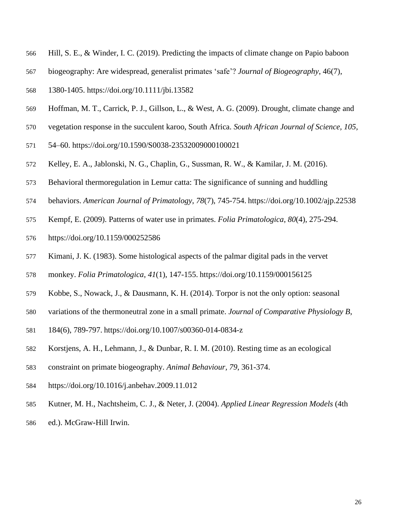- Hill, S. E., & Winder, I. C. (2019). Predicting the impacts of climate change on Papio baboon
- biogeography: Are widespread, generalist primates 'safe'? *Journal of Biogeography*, 46(7),
- 1380-1405.<https://doi.org/10.1111/jbi.13582>
- Hoffman, M. T., Carrick, P. J., Gillson, L., & West, A. G. (2009). Drought, climate change and
- vegetation response in the succulent karoo, South Africa. *South African Journal of Science, 105,*
- 54–60. <https://doi.org/10.1590/S0038-23532009000100021>
- Kelley, E. A., Jablonski, N. G., Chaplin, G., Sussman, R. W., & Kamilar, J. M. (2016).
- Behavioral thermoregulation in Lemur catta: The significance of sunning and huddling
- behaviors. *American Journal of Primatology*, *78*(7), 745-754. <https://doi.org/10.1002/ajp.22538>
- Kempf, E. (2009). Patterns of water use in primates. *Folia Primatologica*, *80*(4), 275-294.
- <https://doi.org/10.1159/000252586>
- Kimani, J. K. (1983). Some histological aspects of the palmar digital pads in the vervet
- monkey. *Folia Primatologica*, *41*(1), 147-155. <https://doi.org/10.1159/000156125>
- Kobbe, S., Nowack, J., & Dausmann, K. H. (2014). Torpor is not the only option: seasonal
- variations of the thermoneutral zone in a small primate. *Journal of Comparative Physiology B*,
- 184(6), 789-797. <https://doi.org/10.1007/s00360-014-0834-z>
- Korstjens, A. H., Lehmann, J., & Dunbar, R. I. M. (2010). Resting time as an ecological
- constraint on primate biogeography. *Animal Behaviour, 79*, 361-374.
- <https://doi.org/10.1016/j.anbehav.2009.11.012>
- Kutner, M. H., Nachtsheim, C. J., & Neter, J. (2004). *Applied Linear Regression Models* (4th
- ed.). McGraw-Hill Irwin.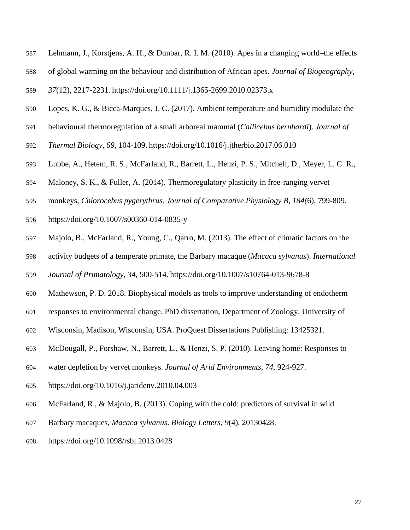- Lehmann, J., Korstjens, A. H., & Dunbar, R. I. M. (2010). Apes in a changing world–the effects
- of global warming on the behaviour and distribution of African apes. *Journal of Biogeography,*
- *37*(12), 2217-2231. <https://doi.org/10.1111/j.1365-2699.2010.02373.x>
- Lopes, K. G., & Bicca-Marques, J. C. (2017). Ambient temperature and humidity modulate the
- behavioural thermoregulation of a small arboreal mammal (*Callicebus bernhardi*). *Journal of*
- *Thermal Biology, 69*, 104-109. <https://doi.org/10.1016/j.jtherbio.2017.06.010>
- Lubbe, A., Hetem, R. S., McFarland, R., Barrett, L., Henzi, P. S., Mitchell, D., Meyer, L. C. R.,
- Maloney, S. K., & Fuller, A. (2014). Thermoregulatory plasticity in free-ranging vervet
- monkeys, *Chlorocebus pygerythrus*. *Journal of Comparative Physiology B, 184(*6), 799-809.
- <https://doi.org/10.1007/s00360-014-0835-y>
- Majolo, B., McFarland, R., Young, C., Qarro, M. (2013). The effect of climatic factors on the
- activity budgets of a temperate primate, the Barbary macaque (*Macaca sylvanus*). *International*
- *Journal of Primatology, 34,* 500-514. <https://doi.org/10.1007/s10764-013-9678-8>
- Mathewson, P. D. 2018. Biophysical models as tools to improve understanding of endotherm
- responses to environmental change. PhD dissertation, Department of Zoology, University of
- Wisconsin, Madison, Wisconsin, USA. ProQuest Dissertations Publishing: 13425321.
- McDougall, P., Forshaw, N., Barrett, L., & Henzi, S. P. (2010). Leaving home: Responses to
- water depletion by vervet monkeys. *Journal of Arid Environments, 74,* 924-927.
- <https://doi.org/10.1016/j.jaridenv.2010.04.003>
- McFarland, R., & Majolo, B. (2013). Coping with the cold: predictors of survival in wild
- Barbary macaques, *Macaca sylvanus*. *Biology Letters*, *9*(4), 20130428.
- <https://doi.org/10.1098/rsbl.2013.0428>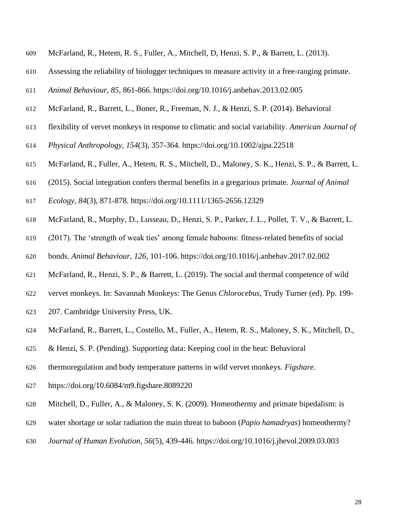- McFarland, R., Hetem, R. S., Fuller, A., Mitchell, D, Henzi, S. P., & Barrett, L. (2013).
- Assessing the reliability of biologger techniques to measure activity in a free-ranging primate.
- *Animal Behaviour, 85*, 861-866. <https://doi.org/10.1016/j.anbehav.2013.02.005>
- McFarland, R., Barrett, L., Boner, R., Freeman, N. J., & Henzi, S. P. (2014). Behavioral
- flexibility of vervet monkeys in response to climatic and social variability. *American Journal of*
- *Physical Anthropology, 154*(3), 357-364.<https://doi.org/10.1002/ajpa.22518>
- McFarland, R., Fuller, A., Hetem, R. S., Mitchell, D., Maloney, S. K., Henzi, S. P., & Barrett, L.
- (2015). Social integration confers thermal benefits in a gregarious primate. *Journal of Animal*
- *Ecology, 84*(3), 871-878.<https://doi.org/10.1111/1365-2656.12329>
- McFarland, R., Murphy, D., Lusseau, D., Henzi, S. P., Parker, J. L., Pollet, T. V., & Barrett, L.
- (2017). The 'strength of weak ties' among female baboons: fitness-related benefits of social
- bonds. *Animal Behaviour*, *126*, 101-106. <https://doi.org/10.1016/j.anbehav.2017.02.002>
- McFarland, R., Henzi, S. P., & Barrett, L. (2019). The social and thermal competence of wild
- vervet monkeys. In: Savannah Monkeys: The Genus *Chlorocebus*, Trudy Turner (ed). Pp. 199-
- 207. Cambridge University Press, UK.
- McFarland, R., Barrett, L., Costello, M., Fuller, A., Hetem, R. S., Maloney, S. K., Mitchell, D.,
- & Henzi, S. P. (Pending). Supporting data: Keeping cool in the heat: Behavioral
- thermoregulation and body temperature patterns in wild vervet monkeys. *Figshare.*
- <https://doi.org/10.6084/m9.figshare.8089220>
- Mitchell, D., Fuller, A., & Maloney, S. K. (2009). Homeothermy and primate bipedalism: is
- water shortage or solar radiation the main threat to baboon (*Papio hamadryas*) homeothermy?
- *Journal of Human Evolution, 56*(5), 439-446.<https://doi.org/10.1016/j.jhevol.2009.03.003>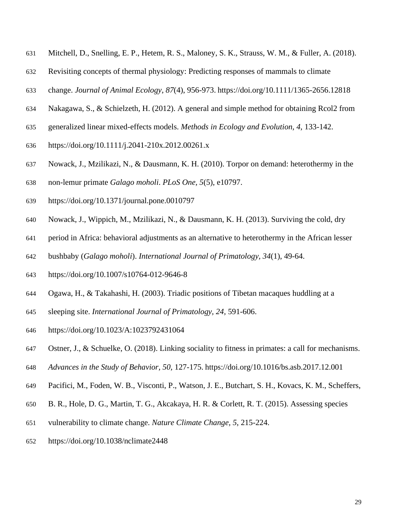- Mitchell, D., Snelling, E. P., Hetem, R. S., Maloney, S. K., Strauss, W. M., & Fuller, A. (2018).
- Revisiting concepts of thermal physiology: Predicting responses of mammals to climate
- change. *Journal of Animal Ecology*, *87*(4), 956-973. <https://doi.org/10.1111/1365-2656.12818>
- Nakagawa, S., & Schielzeth, H. (2012). A general and simple method for obtaining Rcol2 from
- generalized linear mixed-effects models. *Methods in Ecology and Evolution, 4,* 133-142.
- <https://doi.org/10.1111/j.2041-210x.2012.00261.x>
- Nowack, J., Mzilikazi, N., & Dausmann, K. H. (2010). Torpor on demand: heterothermy in the
- non-lemur primate *Galago moholi*. *PLoS One, 5*(5), e10797.
- <https://doi.org/10.1371/journal.pone.0010797>
- Nowack, J., Wippich, M., Mzilikazi, N., & Dausmann, K. H. (2013). Surviving the cold, dry
- period in Africa: behavioral adjustments as an alternative to heterothermy in the African lesser
- bushbaby (*Galago moholi*). *International Journal of Primatology, 34*(1), 49-64.
- <https://doi.org/10.1007/s10764-012-9646-8>
- Ogawa, H., & Takahashi, H. (2003). Triadic positions of Tibetan macaques huddling at a
- sleeping site. *International Journal of Primatology, 24,* 591-606.
- <https://doi.org/10.1023/A:1023792431064>
- Ostner, J., & Schuelke, O. (2018). Linking sociality to fitness in primates: a call for mechanisms.
- *Advances in the Study of Behavior, 50,* 127-175. <https://doi.org/10.1016/bs.asb.2017.12.001>
- Pacifici, M., Foden, W. B., Visconti, P., Watson, J. E., Butchart, S. H., Kovacs, K. M., Scheffers,
- B. R., Hole, D. G., Martin, T. G., Akcakaya, H. R. & Corlett, R. T. (2015). Assessing species
- vulnerability to climate change. *Nature Climate Change, 5*, 215-224.
- <https://doi.org/10.1038/nclimate2448>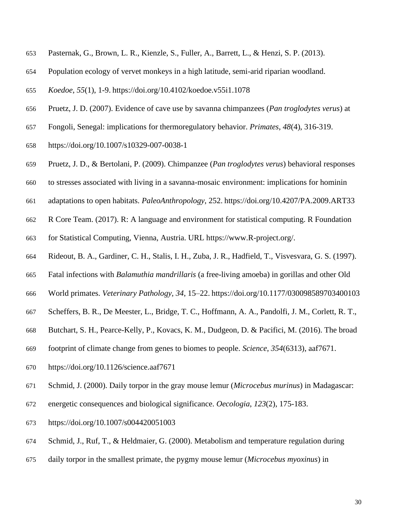- Pasternak, G., Brown, L. R., Kienzle, S., Fuller, A., Barrett, L., & Henzi, S. P. (2013).
- Population ecology of vervet monkeys in a high latitude, semi-arid riparian woodland.
- *Koedoe*, *55*(1), 1-9. <https://doi.org/10.4102/koedoe.v55i1.1078>
- Pruetz, J. D. (2007). Evidence of cave use by savanna chimpanzees (*Pan troglodytes verus*) at
- Fongoli, Senegal: implications for thermoregulatory behavior. *Primates*, *48*(4), 316-319.
- <https://doi.org/10.1007/s10329-007-0038-1>
- Pruetz, J. D., & Bertolani, P. (2009). Chimpanzee (*Pan troglodytes verus*) behavioral responses
- to stresses associated with living in a savanna-mosaic environment: implications for hominin
- adaptations to open habitats. *PaleoAnthropology*, 252. <https://doi.org/10.4207/PA.2009.ART33>
- R Core Team. (2017). R: A language and environment for statistical computing. R Foundation
- for Statistical Computing, Vienna, Austria. URL [https://www.R-project.org/.](https://www.r-project.org/)
- Rideout, B. A., Gardiner, C. H., Stalis, I. H., Zuba, J. R., Hadfield, T., Visvesvara, G. S. (1997).
- Fatal infections with *Balamuthia mandrillaris* (a free-living amoeba) in gorillas and other Old
- World primates. *Veterinary Pathology, 34*, 15–22. <https://doi.org/10.1177/030098589703400103>
- Scheffers, B. R., De Meester, L., Bridge, T. C., Hoffmann, A. A., Pandolfi, J. M., Corlett, R. T.,
- Butchart, S. H., Pearce-Kelly, P., Kovacs, K. M., Dudgeon, D. & Pacifici, M. (2016). The broad
- footprint of climate change from genes to biomes to people. *Science*, *354*(6313), aaf7671.
- <https://doi.org/10.1126/science.aaf7671>
- Schmid, J. (2000). Daily torpor in the gray mouse lemur (*Microcebus murinus*) in Madagascar:
- energetic consequences and biological significance. *Oecologia*, *123*(2), 175-183.
- <https://doi.org/10.1007/s004420051003>
- Schmid, J., Ruf, T., & Heldmaier, G. (2000). Metabolism and temperature regulation during
- daily torpor in the smallest primate, the pygmy mouse lemur (*Microcebus myoxinus*) in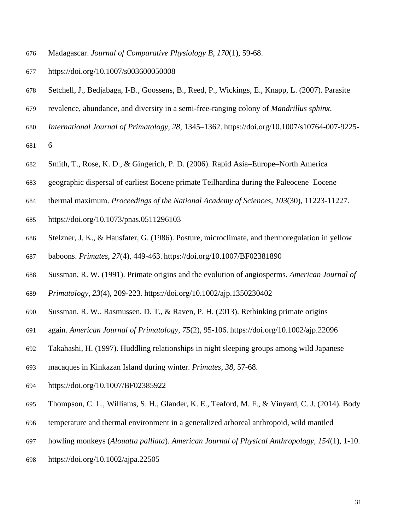- Madagascar. *Journal of Comparative Physiology B*, *170*(1), 59-68.
- <https://doi.org/10.1007/s003600050008>
- Setchell, J., Bedjabaga, I-B., Goossens, B., Reed, P., Wickings, E., Knapp, L. (2007). Parasite
- revalence, abundance, and diversity in a semi-free-ranging colony of *Mandrillus sphinx*.
- *International Journal of Primatology, 28*, 1345–1362. [https://doi.org/10.1007/s10764-007-9225-](https://doi.org/10.1007/s10764-007-9225-6)

- Smith, T., Rose, K. D., & Gingerich, P. D. (2006). Rapid Asia–Europe–North America
- geographic dispersal of earliest Eocene primate Teilhardina during the Paleocene–Eocene
- thermal maximum. *Proceedings of the National Academy of Sciences*, *103*(30), 11223-11227.
- <https://doi.org/10.1073/pnas.0511296103>
- Stelzner, J. K., & Hausfater, G. (1986). Posture, microclimate, and thermoregulation in yellow
- baboons. *Primates*, *27*(4), 449-463. <https://doi.org/10.1007/BF02381890>
- Sussman, R. W. (1991). Primate origins and the evolution of angiosperms. *American Journal of*
- *Primatology*, *23*(4), 209-223. <https://doi.org/10.1002/ajp.1350230402>
- Sussman, R. W., Rasmussen, D. T., & Raven, P. H. (2013). Rethinking primate origins
- again. *American Journal of Primatology*, *75*(2), 95-106. <https://doi.org/10.1002/ajp.22096>
- Takahashi, H. (1997). Huddling relationships in night sleeping groups among wild Japanese
- macaques in Kinkazan Island during winter. *Primates, 38*, 57-68.
- <https://doi.org/10.1007/BF02385922>
- Thompson, C. L., Williams, S. H., Glander, K. E., Teaford, M. F., & Vinyard, C. J. (2014). Body
- temperature and thermal environment in a generalized arboreal anthropoid, wild mantled
- howling monkeys (*Alouatta palliata*). *American Journal of Physical Anthropology, 154*(1), 1-10.
- <https://doi.org/10.1002/ajpa.22505>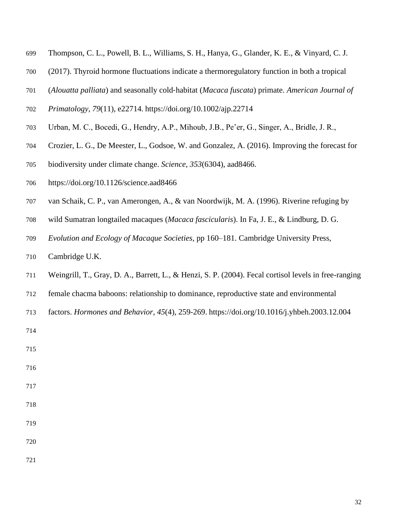- Thompson, C. L., Powell, B. L., Williams, S. H., Hanya, G., Glander, K. E., & Vinyard, C. J.
- (2017). Thyroid hormone fluctuations indicate a thermoregulatory function in both a tropical
- (*Alouatta palliata*) and seasonally cold‐habitat (*Macaca fuscata*) primate. *American Journal of*
- *Primatology*, *79*(11), e22714. <https://doi.org/10.1002/ajp.22714>
- Urban, M. C., Bocedi, G., Hendry, A.P., Mihoub, J.B., Pe'er, G., Singer, A., Bridle, J. R.,
- Crozier, L. G., De Meester, L., Godsoe, W. and Gonzalez, A. (2016). Improving the forecast for
- biodiversity under climate change. *Science*, *353*(6304), aad8466.
- <https://doi.org/10.1126/science.aad8466>
- van Schaik, C. P., van Amerongen, A., & van Noordwijk, M. A. (1996). Riverine refuging by
- wild Sumatran longtailed macaques (*Macaca fascicularis*). In Fa, J. E., & Lindburg, D. G.
- *Evolution and Ecology of Macaque Societies*, pp 160–181. Cambridge University Press,
- Cambridge U.K.
- Weingrill, T., Gray, D. A., Barrett, L., & Henzi, S. P. (2004). Fecal cortisol levels in free-ranging
- female chacma baboons: relationship to dominance, reproductive state and environmental
- factors. *Hormones and Behavior*, *45*(4), 259-269. <https://doi.org/10.1016/j.yhbeh.2003.12.004>
- 

- 
- 
- 
- 
-